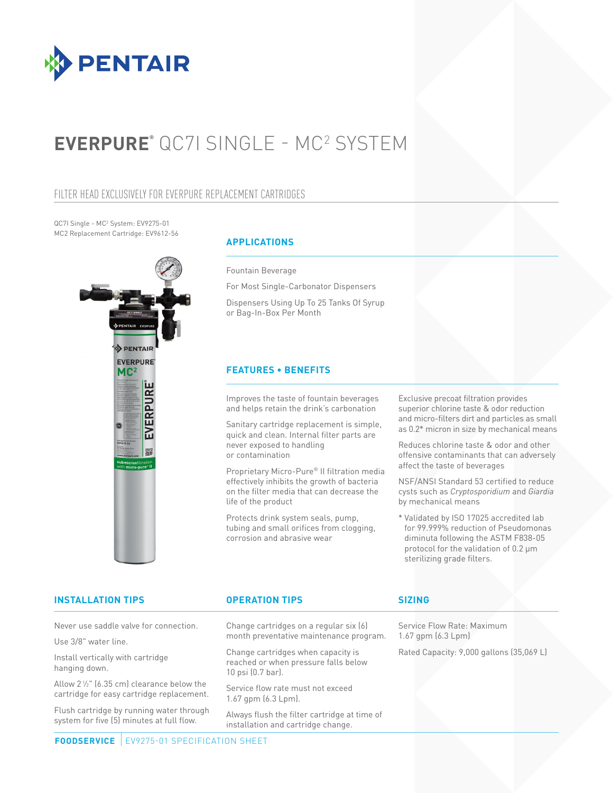

# **EVERPURE®** QC7I SINGLE - MC2 SYSTEM

# FILTER HEAD EXCLUSIVELY FOR EVERPURE REPLACEMENT CARTRIDGES

QC7I Single - MC<sup>2</sup> System: EV9275-01 MC2 Replacement Cartridge: EV9612-56



# **APPLICATIONS**

Fountain Beverage

For Most Single-Carbonator Dispensers

Dispensers Using Up To 25 Tanks Of Syrup or Bag-In-Box Per Month

### **FEATURES • BENEFITS**

Improves the taste of fountain beverages and helps retain the drink's carbonation

Sanitary cartridge replacement is simple, quick and clean. Internal filter parts are never exposed to handling or contamination

Proprietary Micro-Pure® II filtration media effectively inhibits the growth of bacteria on the filter media that can decrease the life of the product

Protects drink system seals, pump, tubing and small orifices from clogging, corrosion and abrasive wear

Exclusive precoat filtration provides superior chlorine taste & odor reduction and micro-filters dirt and particles as small as 0.2\* micron in size by mechanical means

Reduces chlorine taste & odor and other offensive contaminants that can adversely affect the taste of beverages

NSF/ANSI Standard 53 certified to reduce cysts such as *Cryptosporidium* and *Giardia* by mechanical means

\* Validated by ISO 17025 accredited lab for 99.999% reduction of Pseudomonas diminuta following the ASTM F838-05 protocol for the validation of 0.2 μm sterilizing grade filters.

# **INSTALLATION TIPS OPERATION TIPS**

Never use saddle valve for connection.

Use 3/8" water line.

Install vertically with cartridge hanging down.

Allow  $2\frac{1}{2}$ " (6.35 cm) clearance below the cartridge for easy cartridge replacement.

Flush cartridge by running water through system for five (5) minutes at full flow.

Change cartridges on a regular six (6) month preventative maintenance program.

Change cartridges when capacity is reached or when pressure falls below 10 psi (0.7 bar).

Service flow rate must not exceed 1.67 gpm (6.3 Lpm).

Always flush the filter cartridge at time of installation and cartridge change.

# **SIZING**

Service Flow Rate: Maximum 1.67 gpm (6.3 Lpm)

Rated Capacity: 9,000 gallons (35,069 L)